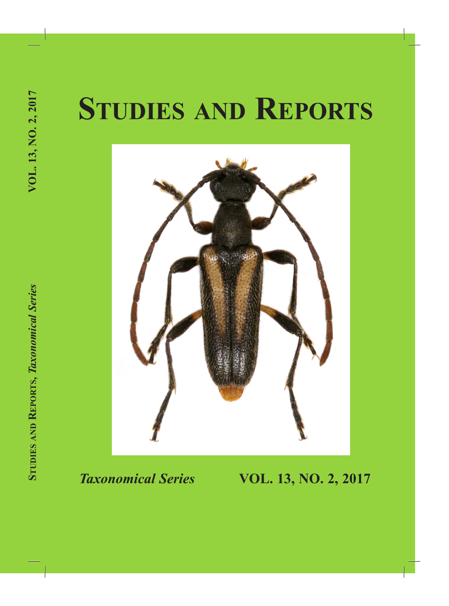## **Studies and Reports**



*Taxonomical Series* **VOL. 13, NO. 2, 2017**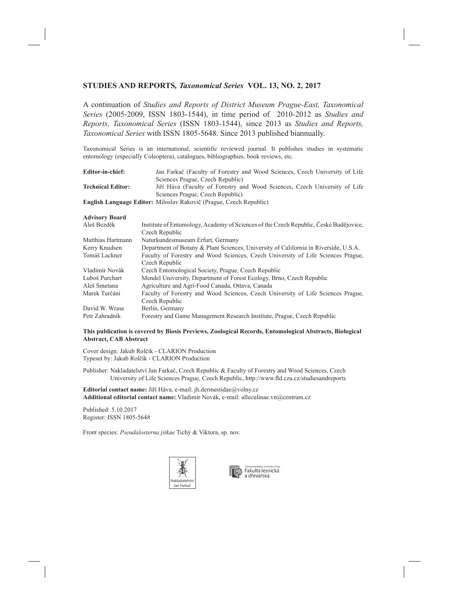## **STUDIES AND REPORTS***, Taxonomical Series* **VOL. 13, NO. 2, 2017**

A continuation of *Studies and Reports of District Museum Prague-East, Taxonomical Series* (2005-2009, ISSN 1803-1544), in time period of 2010-2012 as *Studies and Reports, Taxonomical Series* (ISSN 1803-1544), since 2013 as *Studies and Reports, Taxonomical Series* with ISSN 1805-5648. Since 2013 published biannually.

Taxonomical Series is an international, scientific reviewed journal. It publishes studies in systematic entomology (especially Coleoptera), catalogues, bibliographies, book reviews, etc.

| Editor-in-chief:         | Jan Farkač (Faculty of Forestry and Wood Sciences, Czech University of Life |
|--------------------------|-----------------------------------------------------------------------------|
|                          | Sciences Prague, Czech Republic)                                            |
| <b>Technical Editor:</b> | Jiří Háva (Faculty of Forestry and Wood Sciences, Czech University of Life  |
|                          | Sciences Prague, Czech Republic)                                            |
|                          | <b>English Languago Editor:</b> Miloslav Palzovič (Pragua, Czech Penublic)  |

**English Language Editor:** Miloslav Rakovič (Prague, Czech Republic)

| Institute of Entomology, Academy of Sciences of the Czech Republic, České Budějovice, |
|---------------------------------------------------------------------------------------|
| Czech Republic                                                                        |
| Naturkundesmuseum Erfurt, Germany                                                     |
| Department of Botany & Plant Sciences, University of California in Riverside, U.S.A.  |
| Faculty of Forestry and Wood Sciences, Czech University of Life Sciences Prague,      |
| Czech Republic                                                                        |
| Czech Entomological Society, Prague, Czech Republic                                   |
| Mendel University, Department of Forest Ecology, Brno, Czech Republic                 |
| Agriculture and Agri-Food Canada, Ottava, Canada                                      |
| Faculty of Forestry and Wood Sciences, Czech University of Life Sciences Prague,      |
| Czech Republic                                                                        |
| Berlin, Germany                                                                       |
| Forestry and Game Management Research Institute, Prague, Czech Republic               |
|                                                                                       |

## **This publication is covered by Biosis Previews, Zoological Records, Entomological Abstracts, Biological Abstract, CAB Abstract**

Cover design: Jakub Rolčík - CLARION Production Typeset by: Jakub Rolčík - CLARION Production

Publisher: Nakladatelství Jan Farkač, Czech Republic & Faculty of Forestry and Wood Sciences, Czech University of Life Sciences Prague, Czech Republic, http://www.fld.czu.cz/studiesandreports

**Editorial contact name:** Jiří Háva, e-mail: jh.dermestidae@volny.cz **Additional editorial contact name:** Vladimír Novák, e-mail: alleculinae.vn@centrum.cz

Published: 5.10.2017 Register: ISSN 1805-5648

Front species: *Pseudalosterna jitkae* Tichý & Viktora, sp. nov.



Fakulta lesnická a dřevařská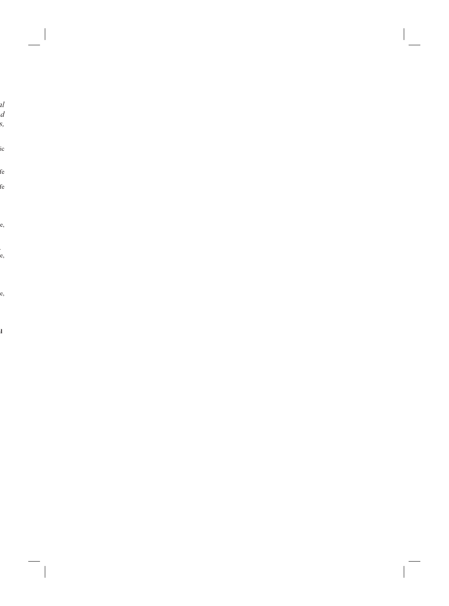- 
- A continuation of *Studies and Reports of District Museum Prague-East, Taxonomical*   $\overline{d}$
- $S$ ,
- ic
- fe  $\mathbf f$ fe
- e,
- $\ddot{\phantom{a}}$ e,
	-

Ξ

- e,
- **This publication is covered by Biosis Previews, Zoological Records, Entomological Abstracts, Biological**

 $\overline{\phantom{a}}$